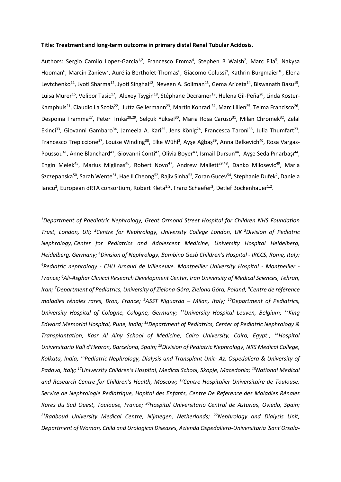#### **Title: Treatment and long-term outcome in primary distal Renal Tubular Acidosis.**

Authors: Sergio Camilo Lopez-Garcia<sup>1,2</sup>, Francesco Emma<sup>4</sup>, Stephen B Walsh<sup>2</sup>, Marc Fila<sup>5</sup>, Nakysa Hooman<sup>6</sup>, Marcin Zaniew<sup>7</sup>, Aurélia Bertholet-Thomas<sup>8</sup>, Giacomo Colussi<sup>9</sup>, Kathrin Burgmaier<sup>10</sup>, Elena Levtchenko<sup>11</sup>, Jyoti Sharma<sup>12</sup>, Jyoti Singhal<sup>12</sup>, Neveen A. Soliman<sup>13</sup>, Gema Ariceta<sup>14</sup>, Biswanath Basu<sup>15</sup>, Luisa Murer<sup>16</sup>, Velibor Tasic<sup>17</sup>, Alexey Tsygin<sup>18</sup>, Stéphane Decramer<sup>19</sup>, Helena Gil-Peña<sup>20</sup>, Linda Koster-Kamphuis<sup>21</sup>, Claudio La Scola<sup>22</sup>, Jutta Gellermann<sup>23</sup>, Martin Konrad <sup>24</sup>, Marc Lilien<sup>25</sup>, Telma Francisco<sup>26</sup>, Despoina Tramma<sup>27</sup>, Peter Trnka<sup>28,29</sup>, Selçuk Yüksel<sup>30</sup>, Maria Rosa Caruso<sup>31</sup>, Milan Chromek<sup>32</sup>, Zelal Ekinci<sup>33</sup>, Giovanni Gambaro<sup>34</sup>, Jameela A. Kari<sup>35</sup>, Jens König<sup>24</sup>, Francesca Taroni<sup>36</sup>, Julia Thumfart<sup>23</sup>, Francesco Trepiccione<sup>37</sup>, Louise Winding<sup>38</sup>, Elke Wühl<sup>3</sup>, Ayşe Ağbaş<sup>39</sup>, Anna Belkevich<sup>40</sup>, Rosa Vargas-Poussou<sup>41</sup>, Anne Blanchard<sup>41</sup>, Giovanni Conti<sup>42</sup>, Olivia Boyer<sup>43</sup>, Ismail Dursun<sup>44</sup>, Ayşe Seda Pınarbaşı<sup>44</sup>, Engin Melek<sup>45</sup>, Marius Miglinas<sup>46</sup>, Robert Novo<sup>47</sup>, Andrew Mallett<sup>29,48</sup>, Danko Milosevic<sup>49</sup>, Maria Szczepanska<sup>50</sup>, Sarah Wente<sup>51</sup>, Hae II Cheong<sup>52</sup>, Rajiv Sinha<sup>53</sup>, Zoran Gucev<sup>54</sup>, Stephanie Dufek<sup>2</sup>, Daniela lancu<sup>2</sup>, European dRTA consortium, Robert Kleta<sup>1,2</sup>, Franz Schaefer<sup>3</sup>, Detlef Bockenhauer<sup>1,2</sup>.

*<sup>1</sup>Department of Paediatric Nephrology, Great Ormond Street Hospital for Children NHS Foundation Trust, London, UK; <sup>2</sup>Centre for Nephrology, University College London, UK <sup>3</sup>Division of Pediatric Nephrology, Center for Pediatrics and Adolescent Medicine, University Hospital Heidelberg, Heidelberg, Germany; <sup>4</sup>Division of Nephrology, Bambino Gesù Children's Hospital - IRCCS, Rome, Italy; <sup>5</sup>Pediatric nephrology - CHU Arnaud de Villeneuve. Montpellier University Hospital - Montpellier - France; <sup>6</sup>Ali-Asghar Clinical Research Development Center, Iran University of Medical Sciences, Tehran, Iran; <sup>7</sup>Department of Pediatrics, University of Zielona Góra, Zielona Góra, Poland; <sup>8</sup>Centre de référence maladies rénales rares, Bron, France; <sup>9</sup>ASST Niguarda – Milan, Italy; <sup>10</sup>Department of Pediatrics, University Hospital of Cologne, Cologne, Germany; <sup>11</sup>University Hospital Leuven, Belgium; <sup>12</sup>King Edward Memorial Hospital, Pune, India; <sup>13</sup>Department of Pediatrics, Center of Pediatric Nephrology & Transplantation, Kasr Al Ainy School of Medicine, Cairo University, Cairo, Egypt ; <sup>14</sup>Hospital Universitario Vall d'Hebron, Barcelona, Spain; <sup>15</sup>Division of Pediatric Nephrology, NRS Medical College, Kolkata, India; <sup>16</sup>Pediatric Nephrology, Dialysis and Transplant Unit- Az. Ospedaliera & University of Padova, Italy; <sup>17</sup>University Children's Hospital, Medical School, Skopje, Macedonia; <sup>18</sup>National Medical and Research Centre for Children's Health, Moscow; <sup>19</sup>Centre Hospitalier Universitaire de Toulouse, Service de Nephrologie Pediatrique, Hopital des Enfants, Centre De Reference des Maladies Rénales Rares du Sud Ouest, Toulouse, France; <sup>20</sup>Hospital Universitario Central de Asturias, Oviedo, Spain; <sup>21</sup>Radboud University Medical Centre, Nijmegen, Netherlands; <sup>22</sup>Nephrology and Dialysis Unit, Department of Woman, Child and Urological Diseases, Azienda Ospedaliero-Universitaria 'Sant'Orsola-*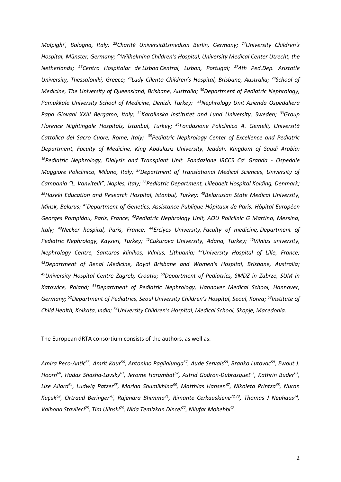*Malpighi', Bologna, Italy; <sup>23</sup>[Charité Universitätsmedizin Berlin,](https://www.researchgate.net/institution/Charite_Universitaetsmedizin_Berlin) Germany; <sup>24</sup>University Children's Hospital, Münster, Germany; <sup>25</sup>Wilhelmina Children's Hospital, University Medical Center Utrecht, the Netherlands; <sup>26</sup>Centro Hospitalar de Lisboa Central, Lisbon, Portugal; <sup>27</sup>4th Ped.Dep. Aristotle University, Thessaloniki, Greece; <sup>28</sup>Lady Cilento Children's Hospital, Brisbane, Australia; <sup>29</sup>School of Medicine, The University of Queensland, Brisbane, Australia; <sup>30</sup>Department of Pediatric Nephrology, Pamukkale University School of Medicine, Denizli, Turkey; <sup>31</sup>Nephrology Unit Azienda Ospedaliera*  Papa Giovani XXIII Bergamo, Italy; <sup>32</sup>Karolinska Institutet and Lund University, Sweden; <sup>33</sup>Group *Florence Nightingale Hospitals, İstanbul, Turkey; <sup>34</sup>Fondazione Policlinico A. Gemelli, Università Cattolica del Sacro Cuore, Rome, Italy; <sup>35</sup>Pediatric Nephrology Center of Excellence and Pediatric Department, Faculty of Medicine, King Abdulaziz University, Jeddah, Kingdom of Saudi Arabia; <sup>36</sup>Pediatric Nephrology, Dialysis and Transplant Unit. Fondazione IRCCS Ca' Granda - Ospedale*  Maggiore Policlinico, Milano, Italy; <sup>37</sup>Department of Translational Medical Sciences, University of *Campania "L. Vanvitelli", Naples, Italy; <sup>38</sup>Pediatric Department, Lillebaelt Hospital Kolding, Denmark; <sup>39</sup>Haseki Education and Research Hospital, Istanbul, Turkey; <sup>40</sup>Belarusian State Medical University, Minsk, Belarus; <sup>41</sup>Department of Genetics, Assistance Publique Hôpitaux de Paris, Hôpital Européen Georges Pompidou, Paris, France; <sup>42</sup>Pediatric Nephrology Unit, AOU Policlinic G Martino, Messina, Italy; <sup>43</sup>Necker hospital, Paris, France; <sup>44</sup>Erciyes University, Faculty of medicine, Department of Pediatric Nephrology, Kayseri, Turkey; <sup>45</sup>Cukurova University, Adana, Turkey; <sup>46</sup>Vilnius university, Nephrology Centre, Santaros klinikos, Vilnius, Lithuania; <sup>47</sup>University Hospital of Lille, France; <sup>48</sup>Department of Renal Medicine, Royal Brisbane and Women's Hospital, Brisbane, Australia; <sup>49</sup>University Hospital Centre Zagreb, Croatia; <sup>50</sup>Department of Pediatrics, SMDZ in Zabrze, SUM in Katowice, Poland; <sup>51</sup>Department of Pediatric Nephrology, Hannover Medical School, Hannover, Germany; <sup>52</sup>Department of Pediatrics, Seoul University Children's Hospital, Seoul, Korea; <sup>53</sup>Institute of Child Health, Kolkata, India; <sup>54</sup>University Children's Hospital, Medical School, Skopje, Macedonia.*

The European dRTA consortium consists of the authors, as well as:

*Amira Peco-Antić<sup>55</sup> , Amrit Kaur<sup>56</sup> , Antonino Paglialunga<sup>57</sup> , Aude Servais<sup>58</sup> , Branko Lutovac<sup>59</sup> , Ewout J. Hoorn<sup>60</sup>, Hadas Shasha-Lavsky<sup>61</sup>, Jerome Harambat<sup>62</sup> , Astrid Godron-Dubrasquet<sup>62</sup> , Kathrin Buder<sup>63</sup> , Lise Allard<sup>64</sup> , Ludwig Patzer<sup>65</sup> , Marina Shumikhina<sup>66</sup> , Matthias Hansen<sup>67</sup> , Nikoleta Printza<sup>68</sup> , Nuran*  Küçük<sup>69</sup>, Ortraud Beringer<sup>70</sup>, Rajendra Bhimma<sup>71</sup>, Rimante Cerkauskiene<sup>72,73</sup>, Thomas J Neuhaus<sup>74</sup>, Valbona Stavileci<sup>75</sup>, Tim Ulinski<sup>76</sup>, Nida Temizkan Dincel<sup>77</sup>, Nilufar Mohebbi<sup>78</sup>.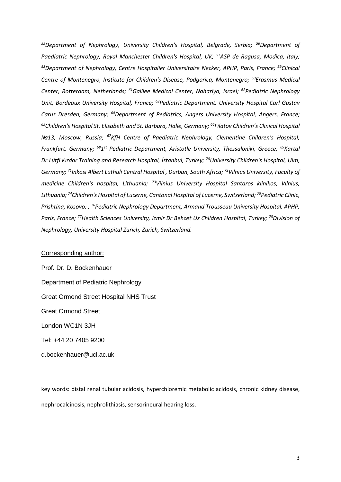*<sup>55</sup>Department of Nephrology, University Children's Hospital, Belgrade, Serbia; <sup>56</sup>Department of Paediatric Nephrology, Royal Manchester Children's Hospital, UK; <sup>57</sup>ASP de Ragusa, Modica, Italy; <sup>58</sup>Department of Nephrology, Centre Hospitalier Universitaire Necker, APHP, Paris, France; <sup>59</sup>Clinical Centre of Montenegro, Institute for Children's Disease, Podgorica, Montenegro; <sup>60</sup>Erasmus Medical Center, Rotterdam, Netherlands; <sup>61</sup>Galilee Medical Center, Nahariya, Israel; <sup>62</sup>Pediatric Nephrology Unit, Bordeaux University Hospital, France; <sup>63</sup>Pediatric Department. University Hospital Carl Gustav Carus Dresden, Germany; <sup>64</sup>Department of Pediatrics, Angers University Hospital, Angers, France; <sup>65</sup>Children's Hospital St. Elisabeth and St. Barbara, Halle, Germany; <sup>66</sup> Filatov Children's Clinical Hospital №13, Moscow, Russia; <sup>67</sup>KfH Centre of Paediatric Nephrology, Clementine Children's Hospital, Frankfurt, Germany; <sup>68</sup>1 st Pediatric Department, Aristotle University, Thessaloniki, Greece; <sup>69</sup>Kartal Dr.Lütfi Kırdar Training and Research Hospital, İstanbul, Turkey; <sup>70</sup>University Children's Hospital, Ulm, Germany; <sup>71</sup> Inkosi Albert Luthuli Central Hospital , Durban, South Africa; <sup>72</sup>Vilnius University, Faculty of medicine Children's hospital, Lithuania; <sup>73</sup>Vilnius University Hospital Santaros klinikos, Vilnius, Lithuania; <sup>74</sup>Children's Hospital of Lucerne, Cantonal Hospital of Lucerne, Switzerland; <sup>75</sup>Pediatric Clinic, Prishtina, Kosovo; ; <sup>76</sup>Pediatric Nephrology Department, Armand Trousseau University Hospital, APHP, Paris, France; <sup>77</sup>Health Sciences University, Izmir Dr Behcet Uz Children Hospital, Turkey; <sup>78</sup>Division of Nephrology, University Hospital Zurich, Zurich, Switzerland.*

## Corresponding author:

Prof. Dr. D. Bockenhauer Department of Pediatric Nephrology Great Ormond Street Hospital NHS Trust Great Ormond Street London WC1N 3JH Tel: +44 20 7405 9200 d.bockenhauer@ucl.ac.uk

key words: distal renal tubular acidosis, hyperchloremic metabolic acidosis, chronic kidney disease, nephrocalcinosis, nephrolithiasis, sensorineural hearing loss.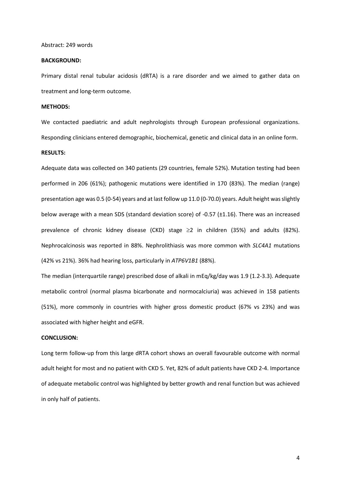#### Abstract: 249 words

#### **BACKGROUND:**

Primary distal renal tubular acidosis (dRTA) is a rare disorder and we aimed to gather data on treatment and long-term outcome.

#### **METHODS:**

We contacted paediatric and adult nephrologists through European professional organizations. Responding clinicians entered demographic, biochemical, genetic and clinical data in an online form.

## **RESULTS:**

Adequate data was collected on 340 patients (29 countries, female 52%). Mutation testing had been performed in 206 (61%); pathogenic mutations were identified in 170 (83%). The median (range) presentation age was 0.5 (0-54) years and at last follow up 11.0 (0-70.0) years. Adult height was slightly below average with a mean SDS (standard deviation score) of -0.57 (±1.16). There was an increased prevalence of chronic kidney disease (CKD) stage  $\geq$  2 in children (35%) and adults (82%). Nephrocalcinosis was reported in 88%. Nephrolithiasis was more common with *SLC4A1* mutations (42% vs 21%). 36% had hearing loss, particularly in *ATP6V1B1* (88%).

The median (interquartile range) prescribed dose of alkali in mEq/kg/day was 1.9 (1.2-3.3). Adequate metabolic control (normal plasma bicarbonate and normocalciuria) was achieved in 158 patients (51%), more commonly in countries with higher gross domestic product (67% vs 23%) and was associated with higher height and eGFR.

### **CONCLUSION:**

Long term follow-up from this large dRTA cohort shows an overall favourable outcome with normal adult height for most and no patient with CKD 5. Yet, 82% of adult patients have CKD 2-4. Importance of adequate metabolic control was highlighted by better growth and renal function but was achieved in only half of patients.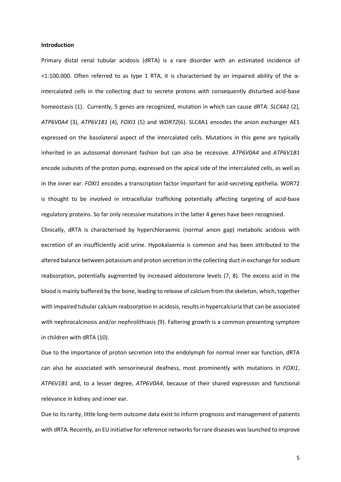#### **Introduction**

Primary distal renal tubular acidosis (dRTA) is a rare disorder with an estimated incidence of  $1:100.000$ . Often referred to as type 1 RTA, it is characterised by an impaired ability of the αintercalated cells in the collecting duct to secrete protons with consequently disturbed acid-base homeostasis (1). Currently, 5 genes are recognized, mutation in which can cause dRTA: *SLC4A1* (2), *ATP6V0A4* (3), *ATP6V1B1* (4), *FOXI1* (5) and *WDR72*(6). SLC4A1 encodes the anion exchanger AE1 expressed on the basolateral aspect of the intercalated cells. Mutations in this gene are typically inherited in an autosomal dominant fashion but can also be recessive. *ATP6V0A4* and *ATP6V1B1* encode subunits of the proton pump, expressed on the apical side of the intercalated cells, as well as in the inner ear. *FOXI1* encodes a transcription factor important for acid-secreting epithelia. WDR72 is thought to be involved in intracellular trafficking potentially affecting targeting of acid-base regulatory proteins. So far only recessive mutations in the latter 4 genes have been recognised.

Clinically, dRTA is characterised by hyperchloraemic (normal anion gap) metabolic acidosis with excretion of an insufficiently acid urine. Hypokalaemia is common and has been attributed to the altered balance between potassium and proton secretion in the collecting duct in exchange for sodium reabsorption, potentially augmented by increased aldosterone levels (7, 8). The excess acid in the blood is mainly buffered by the bone, leading to release of calcium from the skeleton, which, together with impaired tubular calcium reabsorption in acidosis, results in hypercalciuria that can be associated with nephrocalcinosis and/or nephrolithiasis (9). Faltering growth is a common presenting symptom in children with dRTA (10).

Due to the importance of proton secretion into the endolymph for normal inner ear function, dRTA can also be associated with sensorineural deafness, most prominently with mutations in *FOXI1*, *ATP6V1B1* and, to a lesser degree, *ATP6V0A4*, because of their shared expression and functional relevance in kidney and inner ear.

Due to its rarity, little long-term outcome data exist to inform prognosis and management of patients with dRTA. Recently, an EU initiative for reference networks for rare diseases was launched to improve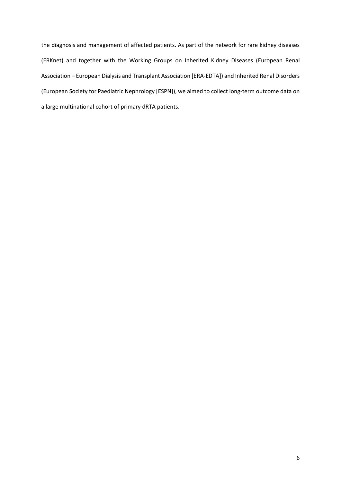the diagnosis and management of affected patients. As part of the network for rare kidney diseases (ERKnet) and together with the Working Groups on Inherited Kidney Diseases (European Renal Association – European Dialysis and Transplant Association [ERA-EDTA]) and Inherited Renal Disorders (European Society for Paediatric Nephrology [ESPN]), we aimed to collect long-term outcome data on a large multinational cohort of primary dRTA patients.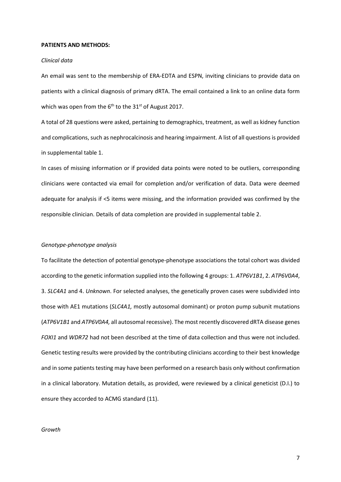#### **PATIENTS AND METHODS:**

#### *Clinical data*

An email was sent to the membership of ERA-EDTA and ESPN, inviting clinicians to provide data on patients with a clinical diagnosis of primary dRTA. The email contained a link to an online data form which was open from the  $6<sup>th</sup>$  to the 31<sup>st</sup> of August 2017.

A total of 28 questions were asked, pertaining to demographics, treatment, as well as kidney function and complications, such as nephrocalcinosis and hearing impairment. A list of all questions is provided in supplemental table 1.

In cases of missing information or if provided data points were noted to be outliers, corresponding clinicians were contacted via email for completion and/or verification of data. Data were deemed adequate for analysis if <5 items were missing, and the information provided was confirmed by the responsible clinician. Details of data completion are provided in supplemental table 2.

#### *Genotype-phenotype analysis*

To facilitate the detection of potential genotype-phenotype associations the total cohort was divided according to the genetic information supplied into the following 4 groups: 1. *ATP6V1B1*, 2. *ATP6V0A4*, 3. *SLC4A1* and 4. *Unknown*. For selected analyses, the genetically proven cases were subdivided into those with AE1 mutations (*SLC4A1,* mostly autosomal dominant) or proton pump subunit mutations (*ATP6V1B1* and *ATP6V0A4,* all autosomal recessive). The most recently discovered dRTA disease genes *FOXI1* and *WDR72* had not been described at the time of data collection and thus were not included. Genetic testing results were provided by the contributing clinicians according to their best knowledge and in some patients testing may have been performed on a research basis only without confirmation in a clinical laboratory. Mutation details, as provided, were reviewed by a clinical geneticist (D.I.) to ensure they accorded to ACMG standard (11).

#### *Growth*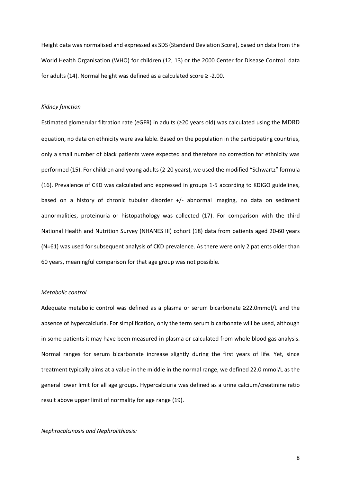Height data was normalised and expressed as SDS (Standard Deviation Score), based on data from the World Health Organisation (WHO) for children (12, 13) or the 2000 Center for Disease Control data for adults (14). Normal height was defined as a calculated score ≥ -2.00.

## *Kidney function*

Estimated glomerular filtration rate (eGFR) in adults (≥20 years old) was calculated using the MDRD equation, no data on ethnicity were available. Based on the population in the participating countries, only a small number of black patients were expected and therefore no correction for ethnicity was performed (15). For children and young adults (2-20 years), we used the modified "Schwartz" formula (16). Prevalence of CKD was calculated and expressed in groups 1-5 according to KDIGO guidelines, based on a history of chronic tubular disorder +/- abnormal imaging, no data on sediment abnormalities, proteinuria or histopathology was collected (17). For comparison with the third National Health and Nutrition Survey (NHANES III) cohort (18) data from patients aged 20-60 years (N=61) was used for subsequent analysis of CKD prevalence. As there were only 2 patients older than 60 years, meaningful comparison for that age group was not possible.

## *Metabolic control*

Adequate metabolic control was defined as a plasma or serum bicarbonate ≥22.0mmol/L and the absence of hypercalciuria. For simplification, only the term serum bicarbonate will be used, although in some patients it may have been measured in plasma or calculated from whole blood gas analysis. Normal ranges for serum bicarbonate increase slightly during the first years of life. Yet, since treatment typically aims at a value in the middle in the normal range, we defined 22.0 mmol/L as the general lower limit for all age groups. Hypercalciuria was defined as a urine calcium/creatinine ratio result above upper limit of normality for age range (19).

#### *Nephrocalcinosis and Nephrolithiasis:*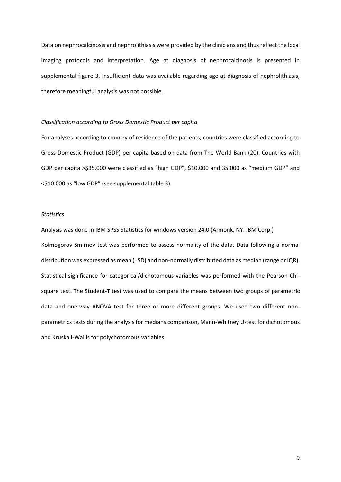Data on nephrocalcinosis and nephrolithiasis were provided by the clinicians and thus reflect the local imaging protocols and interpretation. Age at diagnosis of nephrocalcinosis is presented in supplemental figure 3. Insufficient data was available regarding age at diagnosis of nephrolithiasis, therefore meaningful analysis was not possible.

## *Classification according to Gross Domestic Product per capita*

For analyses according to country of residence of the patients, countries were classified according to Gross Domestic Product (GDP) per capita based on data from The World Bank (20). Countries with GDP per capita >\$35.000 were classified as "high GDP", \$10.000 and 35.000 as "medium GDP" and <\$10.000 as "low GDP" (see supplemental table 3).

## *Statistics*

Analysis was done in IBM SPSS Statistics for windows version 24.0 (Armonk, NY: IBM Corp.) Kolmogorov-Smirnov test was performed to assess normality of the data. Data following a normal distribution was expressed as mean (±SD) and non-normally distributed data as median (range or IQR). Statistical significance for categorical/dichotomous variables was performed with the Pearson Chisquare test. The Student-T test was used to compare the means between two groups of parametric data and one-way ANOVA test for three or more different groups. We used two different nonparametrics tests during the analysis for medians comparison, Mann-Whitney U-test for dichotomous and Kruskall-Wallis for polychotomous variables.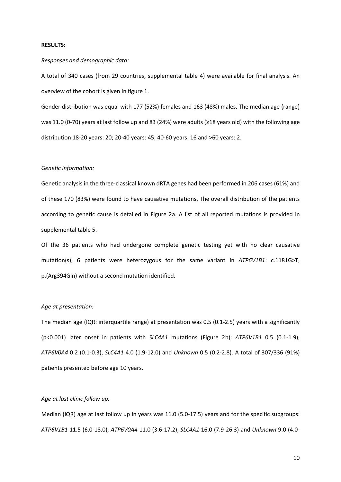### **RESULTS:**

#### *Responses and demographic data:*

A total of 340 cases (from 29 countries, supplemental table 4) were available for final analysis. An overview of the cohort is given in figure 1.

Gender distribution was equal with 177 (52%) females and 163 (48%) males. The median age (range) was 11.0 (0-70) years at last follow up and 83 (24%) were adults (≥18 years old) with the following age distribution 18-20 years: 20; 20-40 years: 45; 40-60 years: 16 and >60 years: 2.

### *Genetic information:*

Genetic analysis in the three-classical known dRTA genes had been performed in 206 cases (61%) and of these 170 (83%) were found to have causative mutations. The overall distribution of the patients according to genetic cause is detailed in Figure 2a. A list of all reported mutations is provided in supplemental table 5.

Of the 36 patients who had undergone complete genetic testing yet with no clear causative mutation(s), 6 patients were heterozygous for the same variant in *ATP6V1B1*: c.1181G>T, p.(Arg394Gln) without a second mutation identified.

#### *Age at presentation:*

The median age (IQR: interquartile range) at presentation was 0.5 (0.1-2.5) years with a significantly (p<0.001) later onset in patients with *SLC4A1* mutations (Figure 2b): *ATP6V1B1* 0.5 (0.1-1.9), *ATP6V0A4* 0.2 (0.1-0.3), *SLC4A1* 4.0 (1.9-12.0) and *Unknown* 0.5 (0.2-2.8). A total of 307/336 (91%) patients presented before age 10 years.

## *Age at last clinic follow up:*

Median (IQR) age at last follow up in years was 11.0 (5.0-17.5) years and for the specific subgroups: *ATP6V1B1* 11.5 (6.0-18.0), *ATP6V0A4* 11.0 (3.6-17.2), *SLC4A1* 16.0 (7.9-26.3) and *Unknown* 9.0 (4.0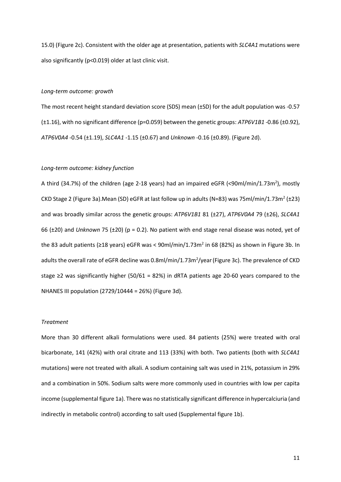15.0) (Figure 2c). Consistent with the older age at presentation, patients with *SLC4A1* mutations were also significantly (p<0.019) older at last clinic visit.

## *Long-term outcome: growth*

The most recent height standard deviation score (SDS) mean (±SD) for the adult population was -0.57 (±1.16), with no significant difference (p=0.059) between the genetic groups: *ATP6V1B1* -0.86 (±0.92), *ATP6V0A4* -0.54 (±1.19), *SLC4A1* -1.15 (±0.67) and *Unknown* -0.16 (±0.89). (Figure 2d).

### *Long-term outcome: kidney function*

A third (34.7%) of the children (age 2-18 years) had an impaired eGFR (<90ml/min/1.73m<sup>2</sup>), mostly CKD Stage 2 (Figure 3a). Mean (SD) eGFR at last follow up in adults (N=83) was 75ml/min/1.73m<sup>2</sup> (±23) and was broadly similar across the genetic groups: *ATP6V1B1* 81 (±27), *ATP6V0A4* 79 (±26), *SLC4A1* 66 (±20) and *Unknown* 75 (±20) (p = 0.2). No patient with end stage renal disease was noted, yet of the 83 adult patients ( $\geq$ 18 years) eGFR was < 90ml/min/1.73m<sup>2</sup> in 68 (82%) as shown in Figure 3b. In adults the overall rate of eGFR decline was 0.8ml/min/1.73m<sup>2</sup>/year (Figure 3c). The prevalence of CKD stage ≥2 was significantly higher (50/61 = 82%) in dRTA patients age 20-60 years compared to the NHANES III population (2729/10444 = 26%) (Figure 3d).

## *Treatment*

More than 30 different alkali formulations were used. 84 patients (25%) were treated with oral bicarbonate, 141 (42%) with oral citrate and 113 (33%) with both. Two patients (both with *SLC4A1* mutations) were not treated with alkali. A sodium containing salt was used in 21%, potassium in 29% and a combination in 50%. Sodium salts were more commonly used in countries with low per capita income (supplemental figure 1a). There was no statistically significant difference in hypercalciuria (and indirectly in metabolic control) according to salt used (Supplemental figure 1b).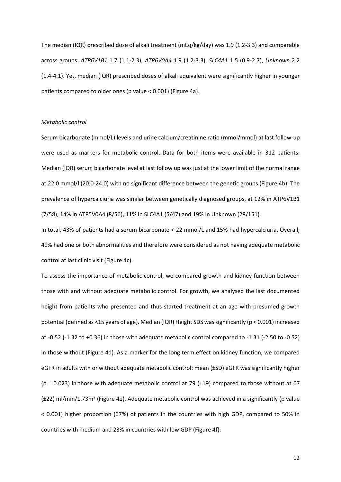The median (IQR) prescribed dose of alkali treatment (mEq/kg/day) was 1.9 (1.2-3.3) and comparable across groups: *ATP6V1B1* 1.7 (1.1-2.3), *ATP6V0A4* 1.9 (1.2-3.3), *SLC4A1* 1.5 (0.9-2.7), *Unknown* 2.2 (1.4-4.1). Yet, median (IQR) prescribed doses of alkali equivalent were significantly higher in younger patients compared to older ones (p value < 0.001) (Figure 4a).

#### *Metabolic control*

Serum bicarbonate (mmol/L) levels and urine calcium/creatinine ratio (mmol/mmol) at last follow-up were used as markers for metabolic control. Data for both items were available in 312 patients. Median (IQR) serum bicarbonate level at last follow up was just at the lower limit of the normal range at 22.0 mmol/l (20.0-24.0) with no significant difference between the genetic groups (Figure 4b). The prevalence of hypercalciuria was similar between genetically diagnosed groups, at 12% in ATP6V1B1 (7/58), 14% in ATP5V0A4 (8/56), 11% in SLC4A1 (5/47) and 19% in Unknown (28/151).

In total, 43% of patients had a serum bicarbonate < 22 mmol/L and 15% had hypercalciuria. Overall, 49% had one or both abnormalities and therefore were considered as not having adequate metabolic control at last clinic visit (Figure 4c).

To assess the importance of metabolic control, we compared growth and kidney function between those with and without adequate metabolic control. For growth, we analysed the last documented height from patients who presented and thus started treatment at an age with presumed growth potential (defined as <15 years of age). Median (IQR) Height SDS was significantly (p < 0.001) increased at -0.52 (-1.32 to +0.36) in those with adequate metabolic control compared to -1.31 (-2.50 to -0.52) in those without (Figure 4d). As a marker for the long term effect on kidney function, we compared eGFR in adults with or without adequate metabolic control: mean (±SD) eGFR was significantly higher  $(p = 0.023)$  in those with adequate metabolic control at 79 ( $\pm$ 19) compared to those without at 67  $(\pm 22)$  ml/min/1.73m<sup>2</sup> (Figure 4e). Adequate metabolic control was achieved in a significantly (p value < 0.001) higher proportion (67%) of patients in the countries with high GDP, compared to 50% in countries with medium and 23% in countries with low GDP (Figure 4f).

12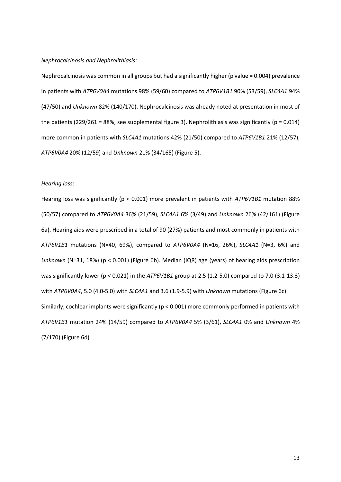#### *Nephrocalcinosis and Nephrolithiasis:*

Nephrocalcinosis was common in all groups but had a significantly higher (p value = 0.004) prevalence in patients with *ATP6V0A4* mutations 98% (59/60) compared to *ATP6V1B1* 90% (53/59), *SLC4A1* 94% (47/50) and *Unknown* 82% (140/170). Nephrocalcinosis was already noted at presentation in most of the patients (229/261 = 88%, see supplemental figure 3). Nephrolithiasis was significantly ( $p = 0.014$ ) more common in patients with *SLC4A1* mutations 42% (21/50) compared to *ATP6V1B1* 21% (12/57), *ATP6V0A4* 20% (12/59) and *Unknown* 21% (34/165) (Figure 5).

## *Hearing loss*:

Hearing loss was significantly (p < 0.001) more prevalent in patients with *ATP6V1B1* mutation 88% (50/57) compared to *ATP6V0A4* 36% (21/59), *SLC4A1* 6% (3/49) and *Unknown* 26% (42/161) (Figure 6a). Hearing aids were prescribed in a total of 90 (27%) patients and most commonly in patients with *ATP6V1B1* mutations (N=40, 69%), compared to *ATP6V0A4* (N=16, 26%), *SLC4A1* (N=3, 6%) and *Unknown* (N=31, 18%) (p < 0.001) (Figure 6b). Median (IQR) age (years) of hearing aids prescription was significantly lower (p < 0.021) in the *ATP6V1B1* group at 2.5 (1.2-5.0) compared to 7.0 (3.1-13.3) with *ATP6V0A4*, 5.0 (4.0-5.0) with *SLC4A1* and 3.6 (1.9-5.9) with *Unknown* mutations (Figure 6c). Similarly, cochlear implants were significantly (p < 0.001) more commonly performed in patients with *ATP6V1B1* mutation 24% (14/59) compared to *ATP6V0A4* 5% (3/61), *SLC4A1* 0% and *Unknown* 4% (7/170) (Figure 6d).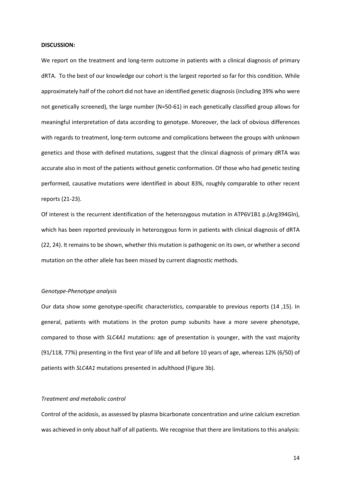#### **DISCUSSION:**

We report on the treatment and long-term outcome in patients with a clinical diagnosis of primary dRTA. To the best of our knowledge our cohort is the largest reported so far for this condition. While approximately half of the cohort did not have an identified genetic diagnosis (including 39% who were not genetically screened), the large number (N=50-61) in each genetically classified group allows for meaningful interpretation of data according to genotype. Moreover, the lack of obvious differences with regards to treatment, long-term outcome and complications between the groups with unknown genetics and those with defined mutations, suggest that the clinical diagnosis of primary dRTA was accurate also in most of the patients without genetic conformation. Of those who had genetic testing performed, causative mutations were identified in about 83%, roughly comparable to other recent reports (21-23).

Of interest is the recurrent identification of the heterozygous mutation in ATP6V1B1 p.(Arg394Gln), which has been reported previously in heterozygous form in patients with clinical diagnosis of dRTA (22, 24). It remains to be shown, whether this mutation is pathogenic on its own, or whether a second mutation on the other allele has been missed by current diagnostic methods.

### *Genotype-Phenotype analysis*

Our data show some genotype-specific characteristics, comparable to previous reports (14 ,15). In general, patients with mutations in the proton pump subunits have a more severe phenotype, compared to those with *SLC4A1* mutations: age of presentation is younger, with the vast majority (91/118, 77%) presenting in the first year of life and all before 10 years of age, whereas 12% (6/50) of patients with *SLC4A1* mutations presented in adulthood (Figure 3b).

## *Treatment and metabolic control*

Control of the acidosis, as assessed by plasma bicarbonate concentration and urine calcium excretion was achieved in only about half of all patients. We recognise that there are limitations to this analysis: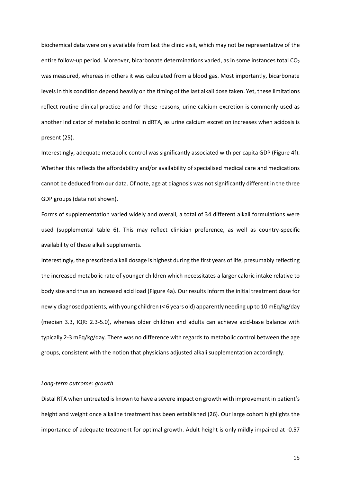biochemical data were only available from last the clinic visit, which may not be representative of the entire follow-up period. Moreover, bicarbonate determinations varied, as in some instances total  $CO<sub>2</sub>$ was measured, whereas in others it was calculated from a blood gas. Most importantly, bicarbonate levels in this condition depend heavily on the timing of the last alkali dose taken. Yet, these limitations reflect routine clinical practice and for these reasons, urine calcium excretion is commonly used as another indicator of metabolic control in dRTA, as urine calcium excretion increases when acidosis is present (25).

Interestingly, adequate metabolic control was significantly associated with per capita GDP (Figure 4f). Whether this reflects the affordability and/or availability of specialised medical care and medications cannot be deduced from our data. Of note, age at diagnosis was not significantly different in the three GDP groups (data not shown).

Forms of supplementation varied widely and overall, a total of 34 different alkali formulations were used (supplemental table 6). This may reflect clinician preference, as well as country-specific availability of these alkali supplements.

Interestingly, the prescribed alkali dosage is highest during the first years of life, presumably reflecting the increased metabolic rate of younger children which necessitates a larger caloric intake relative to body size and thus an increased acid load (Figure 4a). Our results inform the initial treatment dose for newly diagnosed patients, with young children (< 6 years old) apparently needing up to 10 mEq/kg/day (median 3.3, IQR: 2.3-5.0), whereas older children and adults can achieve acid-base balance with typically 2-3 mEq/kg/day. There was no difference with regards to metabolic control between the age groups, consistent with the notion that physicians adjusted alkali supplementation accordingly.

### *Long-term outcome: growth*

Distal RTA when untreated is known to have a severe impact on growth with improvement in patient's height and weight once alkaline treatment has been established (26). Our large cohort highlights the importance of adequate treatment for optimal growth. Adult height is only mildly impaired at -0.57

15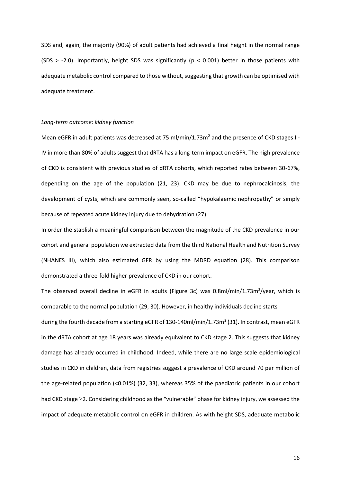SDS and, again, the majority (90%) of adult patients had achieved a final height in the normal range (SDS > -2.0). Importantly, height SDS was significantly ( $p < 0.001$ ) better in those patients with adequate metabolic control compared to those without, suggesting that growth can be optimised with adequate treatment.

## *Long-term outcome: kidney function*

Mean eGFR in adult patients was decreased at 75 ml/min/1.73m<sup>2</sup> and the presence of CKD stages II-IV in more than 80% of adults suggest that dRTA has a long-term impact on eGFR. The high prevalence of CKD is consistent with previous studies of dRTA cohorts, which reported rates between 30-67%, depending on the age of the population (21, 23). CKD may be due to nephrocalcinosis, the development of cysts, which are commonly seen, so-called "hypokalaemic nephropathy" or simply because of repeated acute kidney injury due to dehydration (27).

In order the stablish a meaningful comparison between the magnitude of the CKD prevalence in our cohort and general population we extracted data from the third National Health and Nutrition Survey (NHANES III), which also estimated GFR by using the MDRD equation (28). This comparison demonstrated a three-fold higher prevalence of CKD in our cohort.

The observed overall decline in eGFR in adults (Figure 3c) was 0.8ml/min/1.73m<sup>2</sup>/year, which is comparable to the normal population (29, 30). However, in healthy individuals decline starts during the fourth decade from a starting eGFR of 130-140ml/min/1.73m<sup>2</sup> (31). In contrast, mean eGFR in the dRTA cohort at age 18 years was already equivalent to CKD stage 2. This suggests that kidney damage has already occurred in childhood. Indeed, while there are no large scale epidemiological studies in CKD in children, data from registries suggest a prevalence of CKD around 70 per million of the age-related population (<0.01%) (32, 33), whereas 35% of the paediatric patients in our cohort had CKD stage  $\geq$ 2. Considering childhood as the "vulnerable" phase for kidney injury, we assessed the impact of adequate metabolic control on eGFR in children. As with height SDS, adequate metabolic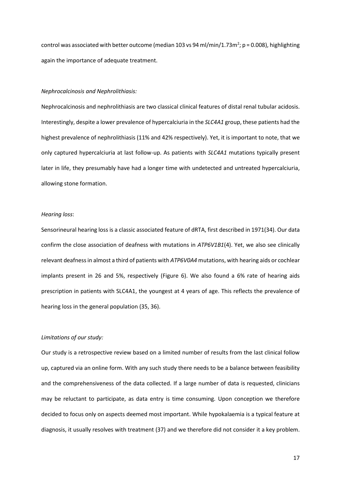control was associated with better outcome (median 103 vs 94 ml/min/1.73m<sup>2</sup>; p = 0.008), highlighting again the importance of adequate treatment.

#### *Nephrocalcinosis and Nephrolithiasis:*

Nephrocalcinosis and nephrolithiasis are two classical clinical features of distal renal tubular acidosis. Interestingly, despite a lower prevalence of hypercalciuria in the *SLC4A1* group, these patients had the highest prevalence of nephrolithiasis (11% and 42% respectively). Yet, it is important to note, that we only captured hypercalciuria at last follow-up. As patients with *SLC4A1* mutations typically present later in life, they presumably have had a longer time with undetected and untreated hypercalciuria, allowing stone formation.

## *Hearing loss*:

Sensorineural hearing loss is a classic associated feature of dRTA, first described in 1971(34). Our data confirm the close association of deafness with mutations in *ATP6V1B1*(4). Yet, we also see clinically relevant deafness in almost a third of patients with *ATP6V0A4* mutations, with hearing aids or cochlear implants present in 26 and 5%, respectively (Figure 6). We also found a 6% rate of hearing aids prescription in patients with SLC4A1, the youngest at 4 years of age. This reflects the prevalence of hearing loss in the general population (35, 36).

## *Limitations of our study:*

Our study is a retrospective review based on a limited number of results from the last clinical follow up, captured via an online form. With any such study there needs to be a balance between feasibility and the comprehensiveness of the data collected. If a large number of data is requested, clinicians may be reluctant to participate, as data entry is time consuming. Upon conception we therefore decided to focus only on aspects deemed most important. While hypokalaemia is a typical feature at diagnosis, it usually resolves with treatment (37) and we therefore did not consider it a key problem.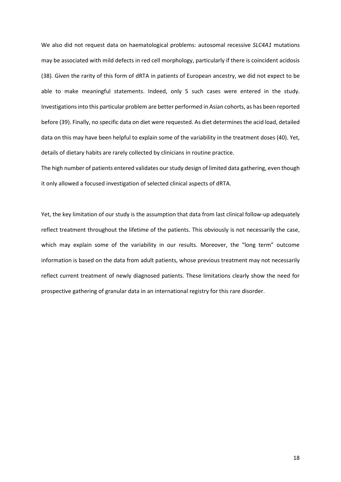We also did not request data on haematological problems: autosomal recessive *SLC4A1* mutations may be associated with mild defects in red cell morphology, particularly if there is coincident acidosis (38). Given the rarity of this form of dRTA in patients of European ancestry, we did not expect to be able to make meaningful statements. Indeed, only 5 such cases were entered in the study. Investigations into this particular problem are better performed in Asian cohorts, as has been reported before (39). Finally, no specific data on diet were requested. As diet determines the acid load, detailed data on this may have been helpful to explain some of the variability in the treatment doses (40). Yet, details of dietary habits are rarely collected by clinicians in routine practice.

The high number of patients entered validates our study design of limited data gathering, even though it only allowed a focused investigation of selected clinical aspects of dRTA.

Yet, the key limitation of our study is the assumption that data from last clinical follow-up adequately reflect treatment throughout the lifetime of the patients. This obviously is not necessarily the case, which may explain some of the variability in our results. Moreover, the "long term" outcome information is based on the data from adult patients, whose previous treatment may not necessarily reflect current treatment of newly diagnosed patients. These limitations clearly show the need for prospective gathering of granular data in an international registry for this rare disorder.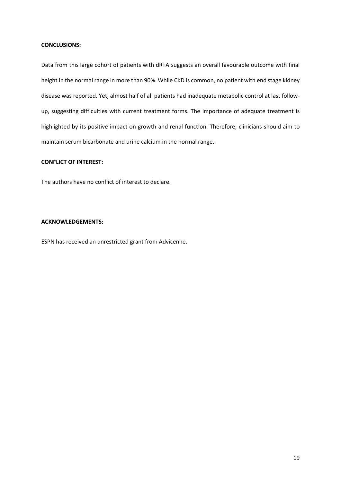## **CONCLUSIONS:**

Data from this large cohort of patients with dRTA suggests an overall favourable outcome with final height in the normal range in more than 90%. While CKD is common, no patient with end stage kidney disease was reported. Yet, almost half of all patients had inadequate metabolic control at last followup, suggesting difficulties with current treatment forms. The importance of adequate treatment is highlighted by its positive impact on growth and renal function. Therefore, clinicians should aim to maintain serum bicarbonate and urine calcium in the normal range.

## **CONFLICT OF INTEREST:**

The authors have no conflict of interest to declare.

#### **ACKNOWLEDGEMENTS:**

ESPN has received an unrestricted grant from Advicenne.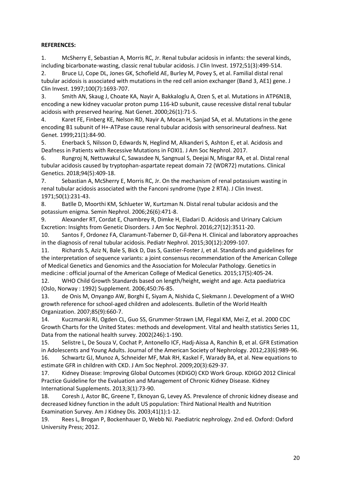# **REFERENCES:**

1. McSherry E, Sebastian A, Morris RC, Jr. Renal tubular acidosis in infants: the several kinds, including bicarbonate-wasting, classic renal tubular acidosis. J Clin Invest. 1972;51(3):499-514.

2. Bruce LJ, Cope DL, Jones GK, Schofield AE, Burley M, Povey S, et al. Familial distal renal tubular acidosis is associated with mutations in the red cell anion exchanger (Band 3, AE1) gene. J Clin Invest. 1997;100(7):1693-707.

3. Smith AN, Skaug J, Choate KA, Nayir A, Bakkaloglu A, Ozen S, et al. Mutations in ATP6N1B, encoding a new kidney vacuolar proton pump 116-kD subunit, cause recessive distal renal tubular acidosis with preserved hearing. Nat Genet. 2000;26(1):71-5.

4. Karet FE, Finberg KE, Nelson RD, Nayir A, Mocan H, Sanjad SA, et al. Mutations in the gene encoding B1 subunit of H+-ATPase cause renal tubular acidosis with sensorineural deafness. Nat Genet. 1999;21(1):84-90.

5. Enerback S, Nilsson D, Edwards N, Heglind M, Alkanderi S, Ashton E, et al. Acidosis and Deafness in Patients with Recessive Mutations in FOXI1. J Am Soc Nephrol. 2017.

6. Rungroj N, Nettuwakul C, Sawasdee N, Sangnual S, Deejai N, Misgar RA, et al. Distal renal tubular acidosis caused by tryptophan-aspartate repeat domain 72 (WDR72) mutations. Clinical Genetics. 2018;94(5):409-18.

7. Sebastian A, McSherry E, Morris RC, Jr. On the mechanism of renal potassium wasting in renal tubular acidosis associated with the Fanconi syndrome (type 2 RTA). J Clin Invest. 1971;50(1):231-43.

8. Batlle D, Moorthi KM, Schlueter W, Kurtzman N. Distal renal tubular acidosis and the potassium enigma. Semin Nephrol. 2006;26(6):471-8.

9. Alexander RT, Cordat E, Chambrey R, Dimke H, Eladari D. Acidosis and Urinary Calcium Excretion: Insights from Genetic Disorders. J Am Soc Nephrol. 2016;27(12):3511-20.

10. Santos F, Ordonez FA, Claramunt-Taberner D, Gil-Pena H. Clinical and laboratory approaches in the diagnosis of renal tubular acidosis. Pediatr Nephrol. 2015;30(12):2099-107.

11. Richards S, Aziz N, Bale S, Bick D, Das S, Gastier-Foster J, et al. Standards and guidelines for the interpretation of sequence variants: a joint consensus recommendation of the American College of Medical Genetics and Genomics and the Association for Molecular Pathology. Genetics in medicine : official journal of the American College of Medical Genetics. 2015;17(5):405-24.

12. WHO Child Growth Standards based on length/height, weight and age. Acta paediatrica (Oslo, Norway : 1992) Supplement. 2006;450:76-85.

13. de Onis M, Onyango AW, Borghi E, Siyam A, Nishida C, Siekmann J. Development of a WHO growth reference for school-aged children and adolescents. Bulletin of the World Health Organization. 2007;85(9):660-7.

14. Kuczmarski RJ, Ogden CL, Guo SS, Grummer-Strawn LM, Flegal KM, Mei Z, et al. 2000 CDC Growth Charts for the United States: methods and development. Vital and health statistics Series 11, Data from the national health survey. 2002(246):1-190.

15. Selistre L, De Souza V, Cochat P, Antonello ICF, Hadj-Aissa A, Ranchin B, et al. GFR Estimation in Adolescents and Young Adults. Journal of the American Society of Nephrology. 2012;23(6):989-96. 16. Schwartz GJ, Munoz A, Schneider MF, Mak RH, Kaskel F, Warady BA, et al. New equations to

estimate GFR in children with CKD. J Am Soc Nephrol. 2009;20(3):629-37.

17. Kidney Disease: Improving Global Outcomes (KDIGO) CKD Work Group. KDIGO 2012 Clinical Practice Guideline for the Evaluation and Management of Chronic Kidney Disease. Kidney International Supplements. 2013;3(1):73-90.

18. Coresh J, Astor BC, Greene T, Eknoyan G, Levey AS. Prevalence of chronic kidney disease and decreased kidney function in the adult US population: Third National Health and Nutrition Examination Survey. Am J Kidney Dis. 2003;41(1):1-12.

19. Rees L, Brogan P, Bockenhauer D, Webb NJ. Paediatric nephrology. 2nd ed. Oxford: Oxford University Press; 2012.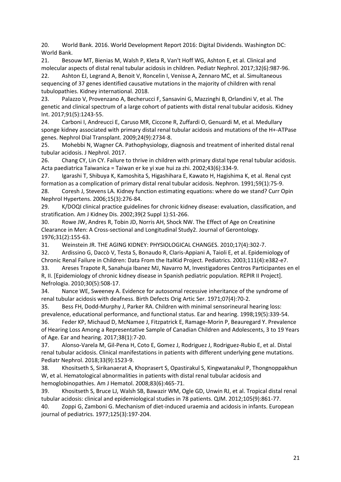20. World Bank. 2016. World Development Report 2016: Digital Dividends. Washington DC: World Bank.

21. Besouw MT, Bienias M, Walsh P, Kleta R, Van't Hoff WG, Ashton E, et al. Clinical and molecular aspects of distal renal tubular acidosis in children. Pediatr Nephrol. 2017;32(6):987-96. 22. Ashton EJ, Legrand A, Benoit V, Roncelin I, Venisse A, Zennaro MC, et al. Simultaneous sequencing of 37 genes identified causative mutations in the majority of children with renal tubulopathies. Kidney international. 2018.

23. Palazzo V, Provenzano A, Becherucci F, Sansavini G, Mazzinghi B, Orlandini V, et al. The genetic and clinical spectrum of a large cohort of patients with distal renal tubular acidosis. Kidney Int. 2017;91(5):1243-55.

24. Carboni I, Andreucci E, Caruso MR, Ciccone R, Zuffardi O, Genuardi M, et al. Medullary sponge kidney associated with primary distal renal tubular acidosis and mutations of the H+-ATPase genes. Nephrol Dial Transplant. 2009;24(9):2734-8.

25. Mohebbi N, Wagner CA. Pathophysiology, diagnosis and treatment of inherited distal renal tubular acidosis. J Nephrol. 2017.

26. Chang CY, Lin CY. Failure to thrive in children with primary distal type renal tubular acidosis. Acta paediatrica Taiwanica = Taiwan er ke yi xue hui za zhi. 2002;43(6):334-9.

27. Igarashi T, Shibuya K, Kamoshita S, Higashihara E, Kawato H, Hagishima K, et al. Renal cyst formation as a complication of primary distal renal tubular acidosis. Nephron. 1991;59(1):75-9.

28. Coresh J, Stevens LA. Kidney function estimating equations: where do we stand? Curr Opin Nephrol Hypertens. 2006;15(3):276-84.

29. K/DOQI clinical practice guidelines for chronic kidney disease: evaluation, classification, and stratification. Am J Kidney Dis. 2002;39(2 Suppl 1):S1-266.

30. Rowe JW, Andres R, Tobin JD, Norris AH, Shock NW. The Effect of Age on Creatinine Clearance in Men: A Cross-sectional and Longitudinal Study2. Journal of Gerontology. 1976;31(2):155-63.

31. Weinstein JR. THE AGING KIDNEY: PHYSIOLOGICAL CHANGES. 2010;17(4):302-7.

32. Ardissino G, Daccò V, Testa S, Bonaudo R, Claris-Appiani A, Taioli E, et al. Epidemiology of Chronic Renal Failure in Children: Data From the ItalKid Project. Pediatrics. 2003;111(4):e382-e7. 33. Areses Trapote R, Sanahuja Ibanez MJ, Navarro M, Investigadores Centros Participantes en el

R, II. [Epidemiology of chronic kidney disease in Spanish pediatric population. REPIR II Project]. Nefrologia. 2010;30(5):508-17.

34. Nance WE, Sweeney A. Evidence for autosomal recessive inheritance of the syndrome of renal tubular acidosis with deafness. Birth Defects Orig Artic Ser. 1971;07(4):70-2.

35. Bess FH, Dodd-Murphy J, Parker RA. Children with minimal sensorineural hearing loss: prevalence, educational performance, and functional status. Ear and hearing. 1998;19(5):339-54. 36. Feder KP, Michaud D, McNamee J, Fitzpatrick E, Ramage-Morin P, Beauregard Y. Prevalence of Hearing Loss Among a Representative Sample of Canadian Children and Adolescents, 3 to 19 Years of Age. Ear and hearing. 2017;38(1):7-20.

37. Alonso-Varela M, Gil-Pena H, Coto E, Gomez J, Rodriguez J, Rodriguez-Rubio E, et al. Distal renal tubular acidosis. Clinical manifestations in patients with different underlying gene mutations. Pediatr Nephrol. 2018;33(9):1523-9.

38. Khositseth S, Sirikanaerat A, Khoprasert S, Opastirakul S, Kingwatanakul P, Thongnoppakhun W, et al. Hematological abnormalities in patients with distal renal tubular acidosis and hemoglobinopathies. Am J Hematol. 2008;83(6):465-71.

39. Khositseth S, Bruce LJ, Walsh SB, Bawazir WM, Ogle GD, Unwin RJ, et al. Tropical distal renal tubular acidosis: clinical and epidemiological studies in 78 patients. QJM. 2012;105(9):861-77.

40. Zoppi G, Zamboni G. Mechanism of diet-induced uraemia and acidosis in infants. European journal of pediatrics. 1977;125(3):197-204.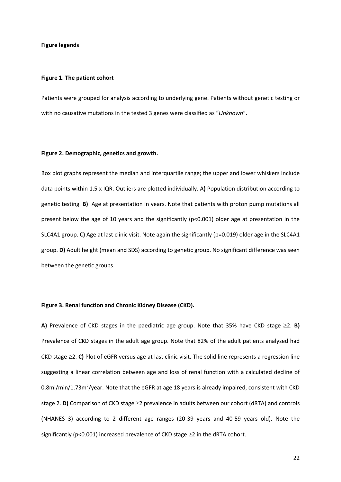#### **Figure legends**

#### **Figure 1**. **The patient cohort**

Patients were grouped for analysis according to underlying gene. Patients without genetic testing or with no causative mutations in the tested 3 genes were classified as "*Unknown*".

## **Figure 2. Demographic, genetics and growth.**

Box plot graphs represent the median and interquartile range; the upper and lower whiskers include data points within 1.5 x IQR. Outliers are plotted individually. A**)** Population distribution according to genetic testing. **B)** Age at presentation in years. Note that patients with proton pump mutations all present below the age of 10 years and the significantly (p<0.001) older age at presentation in the SLC4A1 group. **C)** Age at last clinic visit. Note again the significantly (p=0.019) older age in the SLC4A1 group. **D)** Adult height (mean and SDS) according to genetic group. No significant difference was seen between the genetic groups.

## **Figure 3. Renal function and Chronic Kidney Disease (CKD).**

**A)** Prevalence of CKD stages in the paediatric age group. Note that 35% have CKD stage  $\geq$ 2. **B)** Prevalence of CKD stages in the adult age group. Note that 82% of the adult patients analysed had CKD stage  $\geq$  2. **C**) Plot of eGFR versus age at last clinic visit. The solid line represents a regression line suggesting a linear correlation between age and loss of renal function with a calculated decline of 0.8ml/min/1.73m<sup>2</sup>/year. Note that the eGFR at age 18 years is already impaired, consistent with CKD stage 2. **D)** Comparison of CKD stage  $\geq$ 2 prevalence in adults between our cohort (dRTA) and controls (NHANES 3) according to 2 different age ranges (20-39 years and 40-59 years old). Note the significantly (p<0.001) increased prevalence of CKD stage  $\geq$ 2 in the dRTA cohort.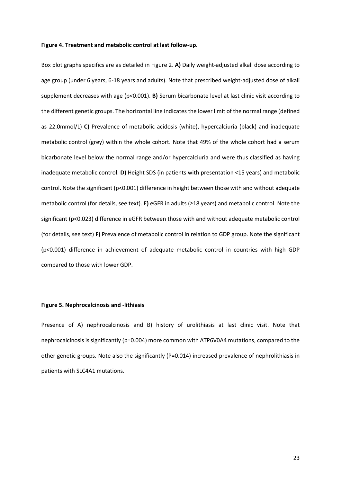#### **Figure 4. Treatment and metabolic control at last follow-up.**

Box plot graphs specifics are as detailed in Figure 2. **A)** Daily weight-adjusted alkali dose according to age group (under 6 years, 6-18 years and adults). Note that prescribed weight-adjusted dose of alkali supplement decreases with age (p<0.001). **B)** Serum bicarbonate level at last clinic visit according to the different genetic groups. The horizontal line indicates the lower limit of the normal range (defined as 22.0mmol/L) **C)** Prevalence of metabolic acidosis (white), hypercalciuria (black) and inadequate metabolic control (grey) within the whole cohort. Note that 49% of the whole cohort had a serum bicarbonate level below the normal range and/or hypercalciuria and were thus classified as having inadequate metabolic control. **D)** Height SDS (in patients with presentation <15 years) and metabolic control. Note the significant (p<0.001) difference in height between those with and without adequate metabolic control (for details, see text). **E)** eGFR in adults (≥18 years) and metabolic control. Note the significant (p<0.023) difference in eGFR between those with and without adequate metabolic control (for details, see text) **F)** Prevalence of metabolic control in relation to GDP group. Note the significant (p<0.001) difference in achievement of adequate metabolic control in countries with high GDP compared to those with lower GDP.

#### **Figure 5. Nephrocalcinosis and -lithiasis**

Presence of A) nephrocalcinosis and B) history of urolithiasis at last clinic visit. Note that nephrocalcinosis is significantly (p=0.004) more common with ATP6V0A4 mutations, compared to the other genetic groups. Note also the significantly (P=0.014) increased prevalence of nephrolithiasis in patients with SLC4A1 mutations.